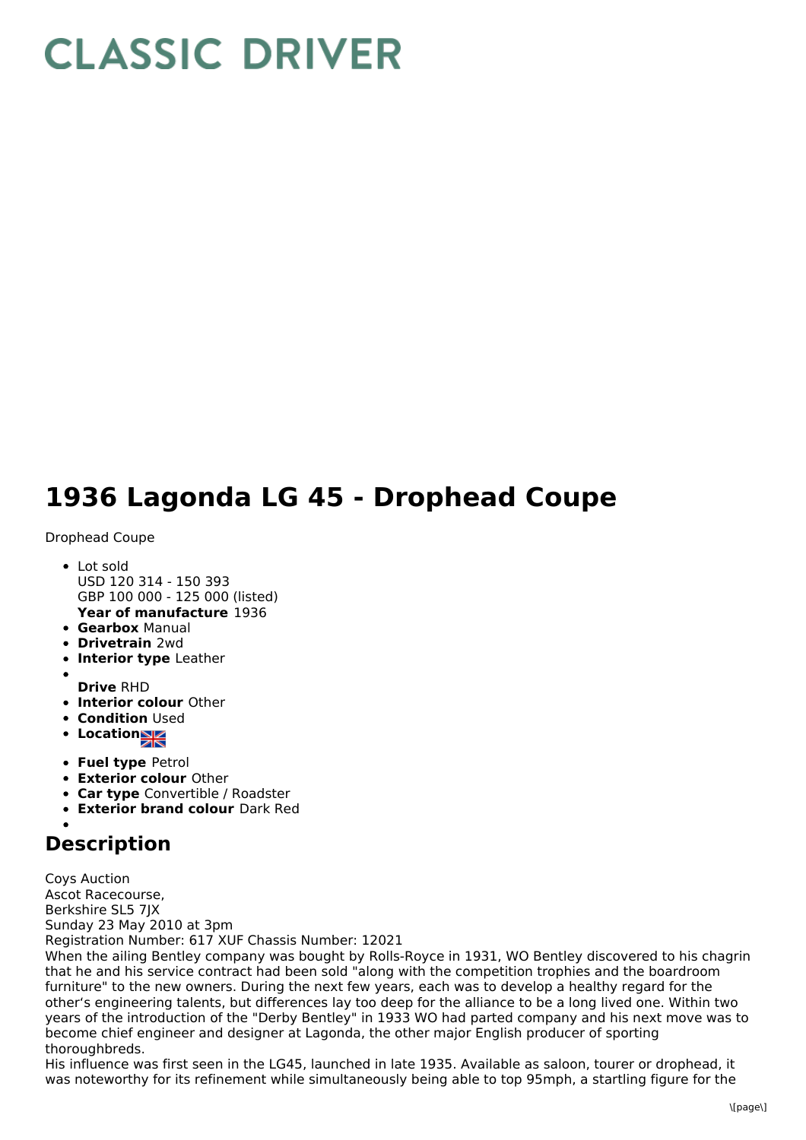## **CLASSIC DRIVER**

## **1936 Lagonda LG 45 - Drophead Coupe**

Drophead Coupe

- **Year of manufacture** 1936 Lot sold USD 120 314 - 150 393 GBP 100 000 - 125 000 (listed)
- **Gearbox** Manual
- **Drivetrain** 2wd
- **Interior type** Leather
- 
- **Drive** RHD
- **Interior colour** Other
- **Condition Used**
- Location<sub>al</sub>
- **Fuel type** Petrol
- **Exterior colour** Other
- **Car type** Convertible / Roadster
- **Exterior brand colour** Dark Red

## **Description**

Coys Auction Ascot Racecourse, Berkshire SL5 7JX Sunday 23 May 2010 at 3pm Registration Number: 617 XUF Chassis Number: 12021

When the ailing Bentley company was bought by Rolls-Royce in 1931, WO Bentley discovered to his chagrin that he and his service contract had been sold "along with the competition trophies and the boardroom furniture" to the new owners. During the next few years, each was to develop a healthy regard for the other's engineering talents, but differences lay too deep for the alliance to be a long lived one. Within two years of the introduction of the "Derby Bentley" in 1933 WO had parted company and his next move was to become chief engineer and designer at Lagonda, the other major English producer of sporting thoroughbreds.

His influence was first seen in the LG45, launched in late 1935. Available as saloon, tourer or drophead, it was noteworthy for its refinement while simultaneously being able to top 95mph, a startling figure for the